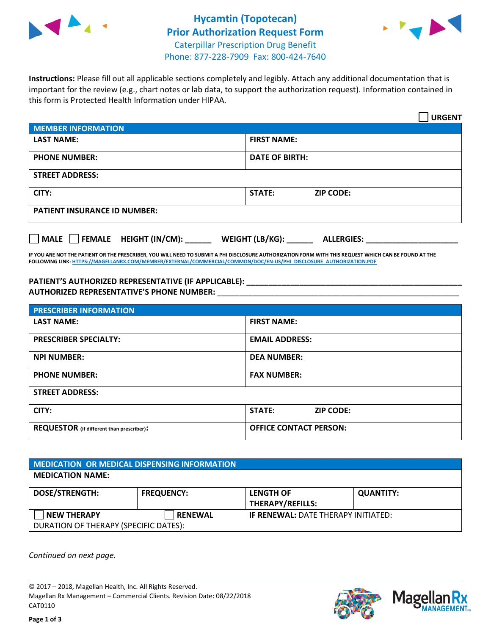



**Instructions:** Please fill out all applicable sections completely and legibly. Attach any additional documentation that is important for the review (e.g., chart notes or lab data, to support the authorization request). Information contained in this form is Protected Health Information under HIPAA.

|                                     | <b>URGENT</b>                        |  |  |  |
|-------------------------------------|--------------------------------------|--|--|--|
| <b>MEMBER INFORMATION</b>           |                                      |  |  |  |
| <b>LAST NAME:</b>                   | <b>FIRST NAME:</b>                   |  |  |  |
| <b>PHONE NUMBER:</b>                | <b>DATE OF BIRTH:</b>                |  |  |  |
| <b>STREET ADDRESS:</b>              |                                      |  |  |  |
| CITY:                               | STATE:<br><b>ZIP CODE:</b>           |  |  |  |
| <b>PATIENT INSURANCE ID NUMBER:</b> |                                      |  |  |  |
| FEMALE HEIGHT (IN/CM):<br>    MALE  | WEIGHT (LB/KG):<br><b>ALLERGIES:</b> |  |  |  |

**IF YOU ARE NOT THE PATIENT OR THE PRESCRIBER, YOU WILL NEED TO SUBMIT A PHI DISCLOSURE AUTHORIZATION FORM WITH THIS REQUEST WHICH CAN BE FOUND AT THE FOLLOWING LINK[: HTTPS://MAGELLANRX.COM/MEMBER/EXTERNAL/COMMERCIAL/COMMON/DOC/EN-US/PHI\\_DISCLOSURE\\_AUTHORIZATION.PDF](https://magellanrx.com/member/external/commercial/common/doc/en-us/PHI_Disclosure_Authorization.pdf)**

PATIENT'S AUTHORIZED REPRESENTATIVE (IF APPLICABLE): **AUTHORIZED REPRESENTATIVE'S PHONE NUMBER:** \_\_\_\_\_\_\_\_\_\_\_\_\_\_\_\_\_\_\_\_\_\_\_\_\_\_\_\_\_\_\_\_\_\_\_\_\_\_\_\_\_\_\_\_\_\_\_\_\_\_\_\_\_\_\_

| <b>PRESCRIBER INFORMATION</b>             |                                   |  |
|-------------------------------------------|-----------------------------------|--|
| <b>LAST NAME:</b>                         | <b>FIRST NAME:</b>                |  |
| <b>PRESCRIBER SPECIALTY:</b>              | <b>EMAIL ADDRESS:</b>             |  |
| <b>NPI NUMBER:</b>                        | <b>DEA NUMBER:</b>                |  |
| <b>PHONE NUMBER:</b>                      | <b>FAX NUMBER:</b>                |  |
| <b>STREET ADDRESS:</b>                    |                                   |  |
| CITY:                                     | <b>STATE:</b><br><b>ZIP CODE:</b> |  |
| REQUESTOR (if different than prescriber): | <b>OFFICE CONTACT PERSON:</b>     |  |

| <b>MEDICATION OR MEDICAL DISPENSING INFORMATION</b> |                   |                                            |                  |  |  |
|-----------------------------------------------------|-------------------|--------------------------------------------|------------------|--|--|
| <b>MEDICATION NAME:</b>                             |                   |                                            |                  |  |  |
| <b>DOSE/STRENGTH:</b>                               | <b>FREQUENCY:</b> | <b>LENGTH OF</b>                           | <b>QUANTITY:</b> |  |  |
|                                                     |                   | <b>THERAPY/REFILLS:</b>                    |                  |  |  |
| <b>NEW THERAPY</b>                                  | <b>RENEWAL</b>    | <b>IF RENEWAL: DATE THERAPY INITIATED:</b> |                  |  |  |
| DURATION OF THERAPY (SPECIFIC DATES):               |                   |                                            |                  |  |  |

*Continued on next page.*

© 2017 – 2018, Magellan Health, Inc. All Rights Reserved. Magellan Rx Management – Commercial Clients. Revision Date: 08/22/2018 CAT0110



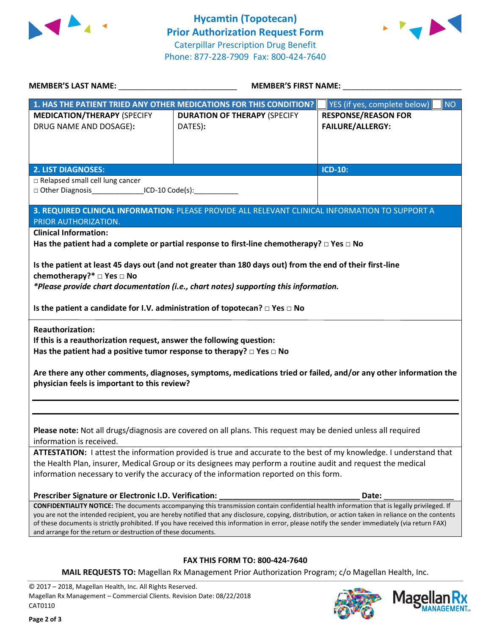



| <b>MEMBER'S LAST NAME:</b> NAME:                                                                                                                                                                                                                                                                        | <b>MEMBER'S FIRST NAME:</b>                                                                                                                 |                                           |  |  |  |
|---------------------------------------------------------------------------------------------------------------------------------------------------------------------------------------------------------------------------------------------------------------------------------------------------------|---------------------------------------------------------------------------------------------------------------------------------------------|-------------------------------------------|--|--|--|
|                                                                                                                                                                                                                                                                                                         | 1. HAS THE PATIENT TRIED ANY OTHER MEDICATIONS FOR THIS CONDITION?                                                                          | <b>NO</b><br>YES (if yes, complete below) |  |  |  |
| <b>MEDICATION/THERAPY (SPECIFY</b>                                                                                                                                                                                                                                                                      | <b>DURATION OF THERAPY (SPECIFY</b>                                                                                                         | <b>RESPONSE/REASON FOR</b>                |  |  |  |
| DRUG NAME AND DOSAGE):                                                                                                                                                                                                                                                                                  | DATES):                                                                                                                                     | <b>FAILURE/ALLERGY:</b>                   |  |  |  |
|                                                                                                                                                                                                                                                                                                         |                                                                                                                                             |                                           |  |  |  |
|                                                                                                                                                                                                                                                                                                         |                                                                                                                                             |                                           |  |  |  |
| <b>2. LIST DIAGNOSES:</b>                                                                                                                                                                                                                                                                               |                                                                                                                                             | <b>ICD-10:</b>                            |  |  |  |
| □ Relapsed small cell lung cancer                                                                                                                                                                                                                                                                       |                                                                                                                                             |                                           |  |  |  |
| □ Other Diagnosis__________________ICD-10 Code(s):______________                                                                                                                                                                                                                                        |                                                                                                                                             |                                           |  |  |  |
|                                                                                                                                                                                                                                                                                                         |                                                                                                                                             |                                           |  |  |  |
|                                                                                                                                                                                                                                                                                                         | 3. REQUIRED CLINICAL INFORMATION: PLEASE PROVIDE ALL RELEVANT CLINICAL INFORMATION TO SUPPORT A                                             |                                           |  |  |  |
| PRIOR AUTHORIZATION.                                                                                                                                                                                                                                                                                    |                                                                                                                                             |                                           |  |  |  |
| <b>Clinical Information:</b>                                                                                                                                                                                                                                                                            |                                                                                                                                             |                                           |  |  |  |
|                                                                                                                                                                                                                                                                                                         | Has the patient had a complete or partial response to first-line chemotherapy? $\Box$ Yes $\Box$ No                                         |                                           |  |  |  |
|                                                                                                                                                                                                                                                                                                         |                                                                                                                                             |                                           |  |  |  |
|                                                                                                                                                                                                                                                                                                         | Is the patient at least 45 days out (and not greater than 180 days out) from the end of their first-line                                    |                                           |  |  |  |
| chemotherapy?* $\Box$ Yes $\Box$ No                                                                                                                                                                                                                                                                     |                                                                                                                                             |                                           |  |  |  |
|                                                                                                                                                                                                                                                                                                         | *Please provide chart documentation (i.e., chart notes) supporting this information.                                                        |                                           |  |  |  |
| Is the patient a candidate for I.V. administration of topotecan? $\Box$ Yes $\Box$ No                                                                                                                                                                                                                   |                                                                                                                                             |                                           |  |  |  |
| <b>Reauthorization:</b>                                                                                                                                                                                                                                                                                 |                                                                                                                                             |                                           |  |  |  |
| If this is a reauthorization request, answer the following question:                                                                                                                                                                                                                                    |                                                                                                                                             |                                           |  |  |  |
| Has the patient had a positive tumor response to therapy? $\Box$ Yes $\Box$ No                                                                                                                                                                                                                          |                                                                                                                                             |                                           |  |  |  |
|                                                                                                                                                                                                                                                                                                         |                                                                                                                                             |                                           |  |  |  |
|                                                                                                                                                                                                                                                                                                         | Are there any other comments, diagnoses, symptoms, medications tried or failed, and/or any other information the                            |                                           |  |  |  |
| physician feels is important to this review?                                                                                                                                                                                                                                                            |                                                                                                                                             |                                           |  |  |  |
|                                                                                                                                                                                                                                                                                                         |                                                                                                                                             |                                           |  |  |  |
|                                                                                                                                                                                                                                                                                                         |                                                                                                                                             |                                           |  |  |  |
|                                                                                                                                                                                                                                                                                                         |                                                                                                                                             |                                           |  |  |  |
|                                                                                                                                                                                                                                                                                                         | Please note: Not all drugs/diagnosis are covered on all plans. This request may be denied unless all required                               |                                           |  |  |  |
| information is received.                                                                                                                                                                                                                                                                                |                                                                                                                                             |                                           |  |  |  |
| ATTESTATION: I attest the information provided is true and accurate to the best of my knowledge. I understand that                                                                                                                                                                                      |                                                                                                                                             |                                           |  |  |  |
| the Health Plan, insurer, Medical Group or its designees may perform a routine audit and request the medical                                                                                                                                                                                            |                                                                                                                                             |                                           |  |  |  |
| information necessary to verify the accuracy of the information reported on this form.                                                                                                                                                                                                                  |                                                                                                                                             |                                           |  |  |  |
|                                                                                                                                                                                                                                                                                                         |                                                                                                                                             |                                           |  |  |  |
| Prescriber Signature or Electronic I.D. Verification:                                                                                                                                                                                                                                                   |                                                                                                                                             | Date:                                     |  |  |  |
|                                                                                                                                                                                                                                                                                                         | CONFIDENTIALITY NOTICE: The documents accompanying this transmission contain confidential health information that is legally privileged. If |                                           |  |  |  |
| you are not the intended recipient, you are hereby notified that any disclosure, copying, distribution, or action taken in reliance on the contents<br>of these documents is strictly prohibited. If you have received this information in error, please notify the sender immediately (via return FAX) |                                                                                                                                             |                                           |  |  |  |
| and arrange for the return or destruction of these documents.                                                                                                                                                                                                                                           |                                                                                                                                             |                                           |  |  |  |
|                                                                                                                                                                                                                                                                                                         |                                                                                                                                             |                                           |  |  |  |
| <b>FAX THIS FORM TO: 800-424-7640</b>                                                                                                                                                                                                                                                                   |                                                                                                                                             |                                           |  |  |  |
|                                                                                                                                                                                                                                                                                                         | MAIL REQUESTS TO: Magellan Rx Management Prior Authorization Program; c/o Magellan Health, Inc.                                             |                                           |  |  |  |
|                                                                                                                                                                                                                                                                                                         |                                                                                                                                             |                                           |  |  |  |

© 2017 – 2018, Magellan Health, Inc. All Rights Reserved. Magellan Rx Management – Commercial Clients. Revision Date: 08/22/2018 CAT0110

**Page 2 of 3**



**AANAGEMENT**<sub>SM</sub>